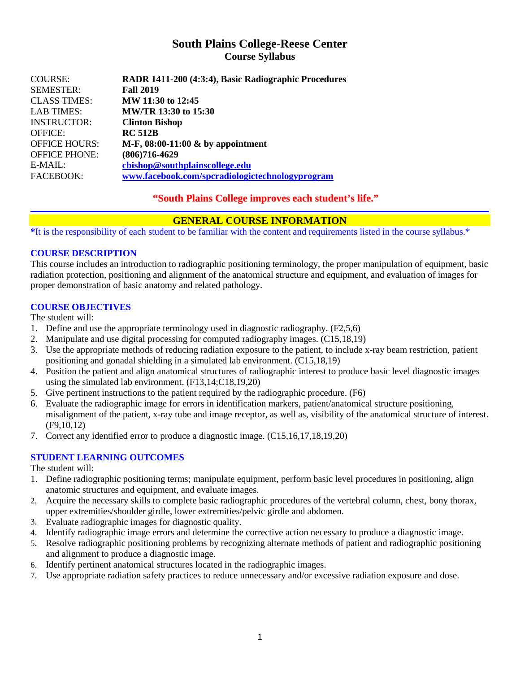## **South Plains College-Reese Center Course Syllabus**

| <b>COURSE:</b>       | RADR 1411-200 (4:3:4), Basic Radiographic Procedures |
|----------------------|------------------------------------------------------|
| <b>SEMESTER:</b>     | <b>Fall 2019</b>                                     |
| <b>CLASS TIMES:</b>  | MW 11:30 to 12:45                                    |
| <b>LAB TIMES:</b>    | MW/TR 13:30 to 15:30                                 |
| <b>INSTRUCTOR:</b>   | <b>Clinton Bishop</b>                                |
| <b>OFFICE:</b>       | <b>RC 512B</b>                                       |
| <b>OFFICE HOURS:</b> | M-F, $08:00-11:00 \&$ by appointment                 |
| <b>OFFICE PHONE:</b> | $(806)716 - 4629$                                    |
| $E-MAIL:$            | cbishop@southplainscollege.edu                       |
| FACEBOOK:            | www.facebook.com/spcradiologictechnologyprogram      |

**"South Plains College improves each student's life."**

## **GENERAL COURSE INFORMATION**

**\***It is the responsibility of each student to be familiar with the content and requirements listed in the course syllabus.\*

## **COURSE DESCRIPTION**

This course includes an introduction to radiographic positioning terminology, the proper manipulation of equipment, basic radiation protection, positioning and alignment of the anatomical structure and equipment, and evaluation of images for proper demonstration of basic anatomy and related pathology.

#### **COURSE OBJECTIVES**

The student will:

- 1. Define and use the appropriate terminology used in diagnostic radiography. (F2,5,6)
- 2. Manipulate and use digital processing for computed radiography images. (C15,18,19)
- 3. Use the appropriate methods of reducing radiation exposure to the patient, to include x-ray beam restriction, patient positioning and gonadal shielding in a simulated lab environment. (C15,18,19)
- 4. Position the patient and align anatomical structures of radiographic interest to produce basic level diagnostic images using the simulated lab environment. (F13,14;C18,19,20)
- 5. Give pertinent instructions to the patient required by the radiographic procedure. (F6)
- 6. Evaluate the radiographic image for errors in identification markers, patient/anatomical structure positioning, misalignment of the patient, x-ray tube and image receptor, as well as, visibility of the anatomical structure of interest. (F9,10,12)
- 7. Correct any identified error to produce a diagnostic image. (C15,16,17,18,19,20)

## **STUDENT LEARNING OUTCOMES**

The student will:

- 1. Define radiographic positioning terms; manipulate equipment, perform basic level procedures in positioning, align anatomic structures and equipment, and evaluate images.
- 2. Acquire the necessary skills to complete basic radiographic procedures of the vertebral column, chest, bony thorax, upper extremities/shoulder girdle, lower extremities/pelvic girdle and abdomen.
- 3. Evaluate radiographic images for diagnostic quality.
- 4. Identify radiographic image errors and determine the corrective action necessary to produce a diagnostic image.
- 5. Resolve radiographic positioning problems by recognizing alternate methods of patient and radiographic positioning and alignment to produce a diagnostic image.
- 6. Identify pertinent anatomical structures located in the radiographic images.
- 7. Use appropriate radiation safety practices to reduce unnecessary and/or excessive radiation exposure and dose.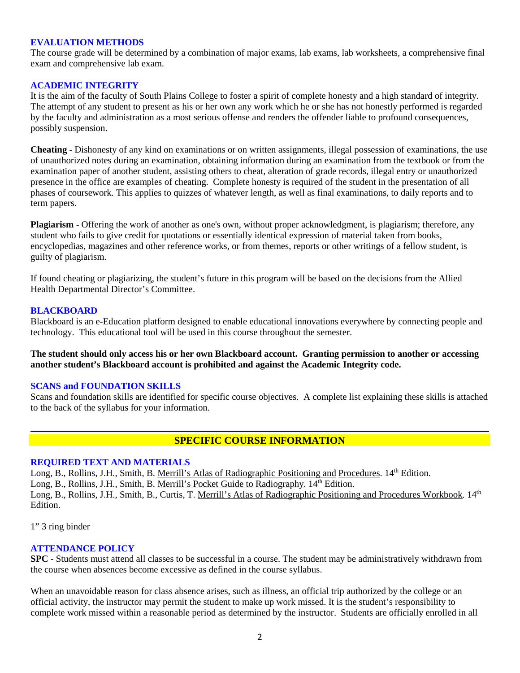#### **EVALUATION METHODS**

The course grade will be determined by a combination of major exams, lab exams, lab worksheets, a comprehensive final exam and comprehensive lab exam.

#### **ACADEMIC INTEGRITY**

It is the aim of the faculty of South Plains College to foster a spirit of complete honesty and a high standard of integrity. The attempt of any student to present as his or her own any work which he or she has not honestly performed is regarded by the faculty and administration as a most serious offense and renders the offender liable to profound consequences, possibly suspension.

**Cheating** - Dishonesty of any kind on examinations or on written assignments, illegal possession of examinations, the use of unauthorized notes during an examination, obtaining information during an examination from the textbook or from the examination paper of another student, assisting others to cheat, alteration of grade records, illegal entry or unauthorized presence in the office are examples of cheating. Complete honesty is required of the student in the presentation of all phases of coursework. This applies to quizzes of whatever length, as well as final examinations, to daily reports and to term papers.

**Plagiarism** - Offering the work of another as one's own, without proper acknowledgment, is plagiarism; therefore, any student who fails to give credit for quotations or essentially identical expression of material taken from books, encyclopedias, magazines and other reference works, or from themes, reports or other writings of a fellow student, is guilty of plagiarism.

If found cheating or plagiarizing, the student's future in this program will be based on the decisions from the Allied Health Departmental Director's Committee.

#### **BLACKBOARD**

Blackboard is an e-Education platform designed to enable educational innovations everywhere by connecting people and technology. This educational tool will be used in this course throughout the semester.

**The student should only access his or her own Blackboard account. Granting permission to another or accessing another student's Blackboard account is prohibited and against the Academic Integrity code.**

#### **SCANS and FOUNDATION SKILLS**

Scans and foundation skills are identified for specific course objectives. A complete list explaining these skills is attached to the back of the syllabus for your information.

## **SPECIFIC COURSE INFORMATION**

#### **REQUIRED TEXT AND MATERIALS**

Long, B., Rollins, J.H., Smith, B. Merrill's Atlas of Radiographic Positioning and Procedures. 14<sup>th</sup> Edition. Long, B., Rollins, J.H., Smith, B. Merrill's Pocket Guide to Radiography.  $14<sup>th</sup>$  Edition. Long, B., Rollins, J.H., Smith, B., Curtis, T. Merrill's Atlas of Radiographic Positioning and Procedures Workbook. 14<sup>th</sup> Edition.

1" 3 ring binder

#### **ATTENDANCE POLICY**

**SPC** - Students must attend all classes to be successful in a course. The student may be administratively withdrawn from the course when absences become excessive as defined in the course syllabus.

When an unavoidable reason for class absence arises, such as illness, an official trip authorized by the college or an official activity, the instructor may permit the student to make up work missed. It is the student's responsibility to complete work missed within a reasonable period as determined by the instructor. Students are officially enrolled in all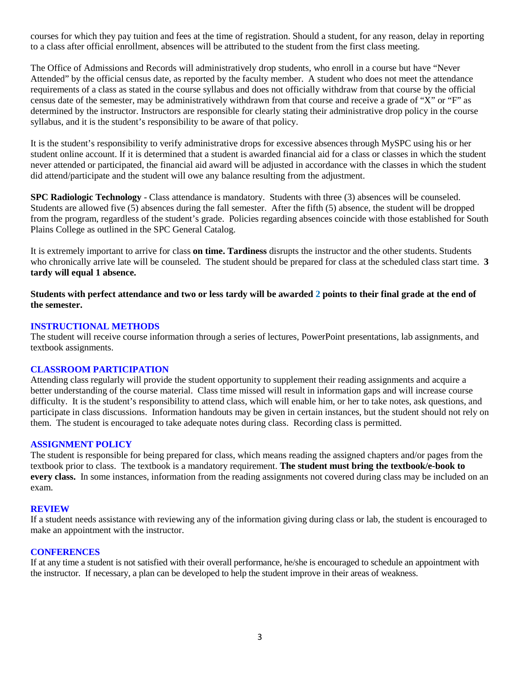courses for which they pay tuition and fees at the time of registration. Should a student, for any reason, delay in reporting to a class after official enrollment, absences will be attributed to the student from the first class meeting.

The Office of Admissions and Records will administratively drop students, who enroll in a course but have "Never Attended" by the official census date, as reported by the faculty member. A student who does not meet the attendance requirements of a class as stated in the course syllabus and does not officially withdraw from that course by the official census date of the semester, may be administratively withdrawn from that course and receive a grade of "X" or "F" as determined by the instructor. Instructors are responsible for clearly stating their administrative drop policy in the course syllabus, and it is the student's responsibility to be aware of that policy.

It is the student's responsibility to verify administrative drops for excessive absences through MySPC using his or her student online account. If it is determined that a student is awarded financial aid for a class or classes in which the student never attended or participated, the financial aid award will be adjusted in accordance with the classes in which the student did attend/participate and the student will owe any balance resulting from the adjustment.

**SPC Radiologic Technology** - Class attendance is mandatory. Students with three (3) absences will be counseled. Students are allowed five (5) absences during the fall semester. After the fifth (5) absence, the student will be dropped from the program, regardless of the student's grade. Policies regarding absences coincide with those established for South Plains College as outlined in the SPC General Catalog.

It is extremely important to arrive for class **on time. Tardiness** disrupts the instructor and the other students. Students who chronically arrive late will be counseled. The student should be prepared for class at the scheduled class start time. **3 tardy will equal 1 absence.**

**Students with perfect attendance and two or less tardy will be awarded 2 points to their final grade at the end of the semester.**

#### **INSTRUCTIONAL METHODS**

The student will receive course information through a series of lectures, PowerPoint presentations, lab assignments, and textbook assignments.

#### **CLASSROOM PARTICIPATION**

Attending class regularly will provide the student opportunity to supplement their reading assignments and acquire a better understanding of the course material. Class time missed will result in information gaps and will increase course difficulty. It is the student's responsibility to attend class, which will enable him, or her to take notes, ask questions, and participate in class discussions. Information handouts may be given in certain instances, but the student should not rely on them. The student is encouraged to take adequate notes during class. Recording class is permitted.

#### **ASSIGNMENT POLICY**

The student is responsible for being prepared for class, which means reading the assigned chapters and/or pages from the textbook prior to class. The textbook is a mandatory requirement. **The student must bring the textbook/e-book to every class.** In some instances, information from the reading assignments not covered during class may be included on an exam.

#### **REVIEW**

If a student needs assistance with reviewing any of the information giving during class or lab, the student is encouraged to make an appointment with the instructor.

#### **CONFERENCES**

If at any time a student is not satisfied with their overall performance, he/she is encouraged to schedule an appointment with the instructor. If necessary, a plan can be developed to help the student improve in their areas of weakness.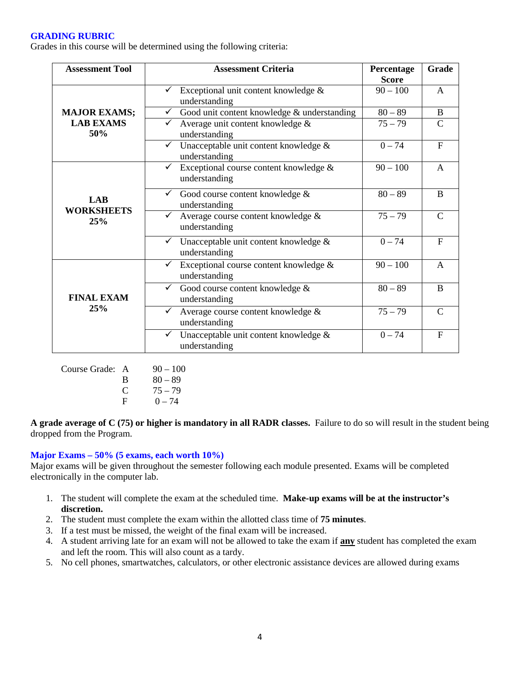#### **GRADING RUBRIC**

Grades in this course will be determined using the following criteria:

| <b>Assessment Tool</b>                         | <b>Assessment Criteria</b>                                             | Percentage<br><b>Score</b> | Grade         |
|------------------------------------------------|------------------------------------------------------------------------|----------------------------|---------------|
| <b>MAJOR EXAMS;</b><br><b>LAB EXAMS</b><br>50% | Exceptional unit content knowledge &<br>understanding                  | $90 - 100$                 | $\mathsf{A}$  |
|                                                | Good unit content knowledge & understanding<br>$\checkmark$            | $80 - 89$                  | B             |
|                                                | Average unit content knowledge &<br>understanding                      | $75 - 79$                  | C             |
|                                                | Unacceptable unit content knowledge &<br>$\checkmark$<br>understanding | $0 - 74$                   | $F_{\rm}$     |
| LAB<br><b>WORKSHEETS</b><br>25%                | Exceptional course content knowledge &<br>understanding                | $90 - 100$                 | A             |
|                                                | Good course content knowledge &<br>✓<br>understanding                  | $80 - 89$                  | B             |
|                                                | Average course content knowledge &<br>✓<br>understanding               | $75 - 79$                  | C             |
|                                                | Unacceptable unit content knowledge &<br>understanding                 | $0 - 74$                   | $F_{\rm}$     |
| <b>FINAL EXAM</b><br>25%                       | Exceptional course content knowledge &<br>✓<br>understanding           | $90 - 100$                 | $\mathsf{A}$  |
|                                                | $\checkmark$<br>Good course content knowledge &<br>understanding       | $80 - 89$                  | B             |
|                                                | Average course content knowledge &<br>$\checkmark$<br>understanding    | $75 - 79$                  | $\mathcal{C}$ |
|                                                | $\checkmark$ Unacceptable unit content knowledge &<br>understanding    | $0 - 74$                   | $\mathbf{F}$  |

| $90 - 100$ |
|------------|
|            |
|            |
|            |
|            |

**A grade average of C (75) or higher is mandatory in all RADR classes.** Failure to do so will result in the student being dropped from the Program.

#### **Major Exams – 50% (5 exams, each worth 10%)**

Major exams will be given throughout the semester following each module presented. Exams will be completed electronically in the computer lab.

- 1. The student will complete the exam at the scheduled time. **Make-up exams will be at the instructor's discretion.**
- 2. The student must complete the exam within the allotted class time of **75 minutes**.
- 3. If a test must be missed, the weight of the final exam will be increased.
- 4. A student arriving late for an exam will not be allowed to take the exam if **any** student has completed the exam and left the room. This will also count as a tardy.
- 5. No cell phones, smartwatches, calculators, or other electronic assistance devices are allowed during exams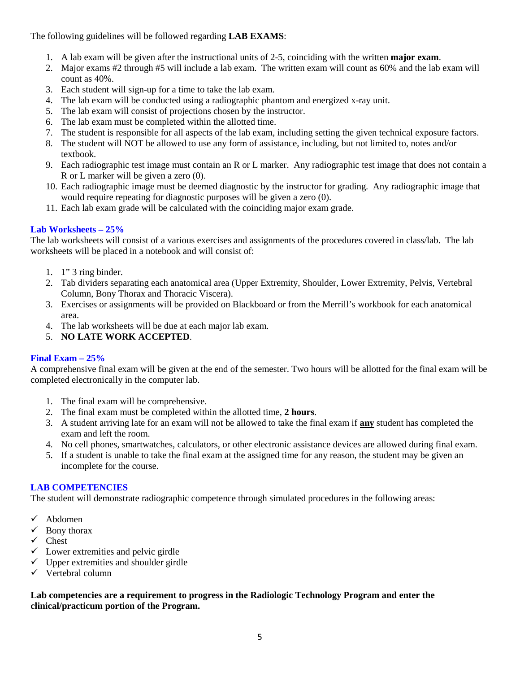The following guidelines will be followed regarding **LAB EXAMS**:

- 1. A lab exam will be given after the instructional units of 2-5, coinciding with the written **major exam**.
- 2. Major exams #2 through #5 will include a lab exam. The written exam will count as 60% and the lab exam will count as 40%.
- 3. Each student will sign-up for a time to take the lab exam.
- 4. The lab exam will be conducted using a radiographic phantom and energized x-ray unit.
- 5. The lab exam will consist of projections chosen by the instructor.
- 6. The lab exam must be completed within the allotted time.
- 7. The student is responsible for all aspects of the lab exam, including setting the given technical exposure factors.
- 8. The student will NOT be allowed to use any form of assistance, including, but not limited to, notes and/or textbook.
- 9. Each radiographic test image must contain an R or L marker. Any radiographic test image that does not contain a R or L marker will be given a zero (0).
- 10. Each radiographic image must be deemed diagnostic by the instructor for grading. Any radiographic image that would require repeating for diagnostic purposes will be given a zero (0).
- 11. Each lab exam grade will be calculated with the coinciding major exam grade.

## **Lab Worksheets – 25%**

The lab worksheets will consist of a various exercises and assignments of the procedures covered in class/lab. The lab worksheets will be placed in a notebook and will consist of:

- 1. 1" 3 ring binder.
- 2. Tab dividers separating each anatomical area (Upper Extremity, Shoulder, Lower Extremity, Pelvis, Vertebral Column, Bony Thorax and Thoracic Viscera).
- 3. Exercises or assignments will be provided on Blackboard or from the Merrill's workbook for each anatomical area.
- 4. The lab worksheets will be due at each major lab exam.
- 5. **NO LATE WORK ACCEPTED**.

## **Final Exam – 25%**

A comprehensive final exam will be given at the end of the semester. Two hours will be allotted for the final exam will be completed electronically in the computer lab.

- 1. The final exam will be comprehensive.
- 2. The final exam must be completed within the allotted time, **2 hours**.
- 3. A student arriving late for an exam will not be allowed to take the final exam if **any** student has completed the exam and left the room.
- 4. No cell phones, smartwatches, calculators, or other electronic assistance devices are allowed during final exam.
- 5. If a student is unable to take the final exam at the assigned time for any reason, the student may be given an incomplete for the course.

## **LAB COMPETENCIES**

The student will demonstrate radiographic competence through simulated procedures in the following areas:

- $\checkmark$  Abdomen
- $\checkmark$  Bony thorax
- $\checkmark$  Chest
- $\checkmark$  Lower extremities and pelvic girdle
- $\checkmark$  Upper extremities and shoulder girdle
- $\checkmark$  Vertebral column

## **Lab competencies are a requirement to progress in the Radiologic Technology Program and enter the clinical/practicum portion of the Program.**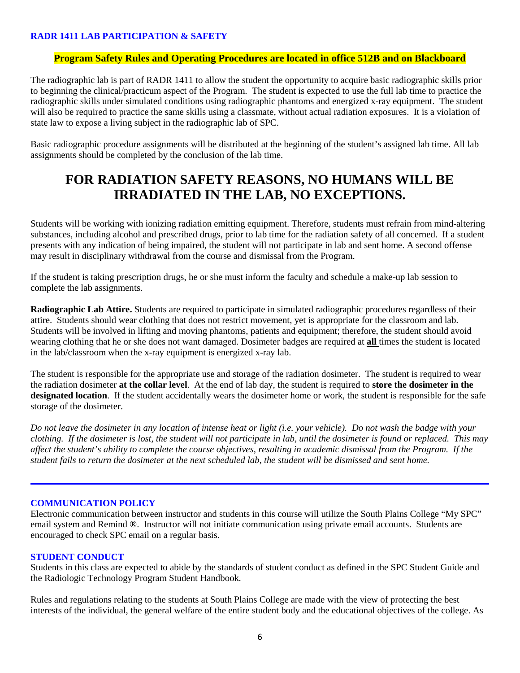#### **RADR 1411 LAB PARTICIPATION & SAFETY**

## **Program Safety Rules and Operating Procedures are located in office 512B and on Blackboard**

The radiographic lab is part of RADR 1411 to allow the student the opportunity to acquire basic radiographic skills prior to beginning the clinical/practicum aspect of the Program. The student is expected to use the full lab time to practice the radiographic skills under simulated conditions using radiographic phantoms and energized x-ray equipment. The student will also be required to practice the same skills using a classmate, without actual radiation exposures. It is a violation of state law to expose a living subject in the radiographic lab of SPC.

Basic radiographic procedure assignments will be distributed at the beginning of the student's assigned lab time. All lab assignments should be completed by the conclusion of the lab time.

# **FOR RADIATION SAFETY REASONS, NO HUMANS WILL BE IRRADIATED IN THE LAB, NO EXCEPTIONS.**

Students will be working with ionizing radiation emitting equipment. Therefore, students must refrain from mind-altering substances, including alcohol and prescribed drugs, prior to lab time for the radiation safety of all concerned. If a student presents with any indication of being impaired, the student will not participate in lab and sent home. A second offense may result in disciplinary withdrawal from the course and dismissal from the Program.

If the student is taking prescription drugs, he or she must inform the faculty and schedule a make-up lab session to complete the lab assignments.

**Radiographic Lab Attire.** Students are required to participate in simulated radiographic procedures regardless of their attire. Students should wear clothing that does not restrict movement, yet is appropriate for the classroom and lab. Students will be involved in lifting and moving phantoms, patients and equipment; therefore, the student should avoid wearing clothing that he or she does not want damaged. Dosimeter badges are required at **all** times the student is located in the lab/classroom when the x-ray equipment is energized x-ray lab.

The student is responsible for the appropriate use and storage of the radiation dosimeter. The student is required to wear the radiation dosimeter **at the collar level**. At the end of lab day, the student is required to **store the dosimeter in the designated location**. If the student accidentally wears the dosimeter home or work, the student is responsible for the safe storage of the dosimeter.

*Do not leave the dosimeter in any location of intense heat or light (i.e. your vehicle). Do not wash the badge with your clothing. If the dosimeter is lost, the student will not participate in lab, until the dosimeter is found or replaced. This may affect the student's ability to complete the course objectives, resulting in academic dismissal from the Program. If the student fails to return the dosimeter at the next scheduled lab, the student will be dismissed and sent home.*

#### **COMMUNICATION POLICY**

Electronic communication between instructor and students in this course will utilize the South Plains College "My SPC" email system and Remind ®. Instructor will not initiate communication using private email accounts. Students are encouraged to check SPC email on a regular basis.

#### **STUDENT CONDUCT**

Students in this class are expected to abide by the standards of student conduct as defined in the SPC Student Guide and the Radiologic Technology Program Student Handbook.

Rules and regulations relating to the students at South Plains College are made with the view of protecting the best interests of the individual, the general welfare of the entire student body and the educational objectives of the college. As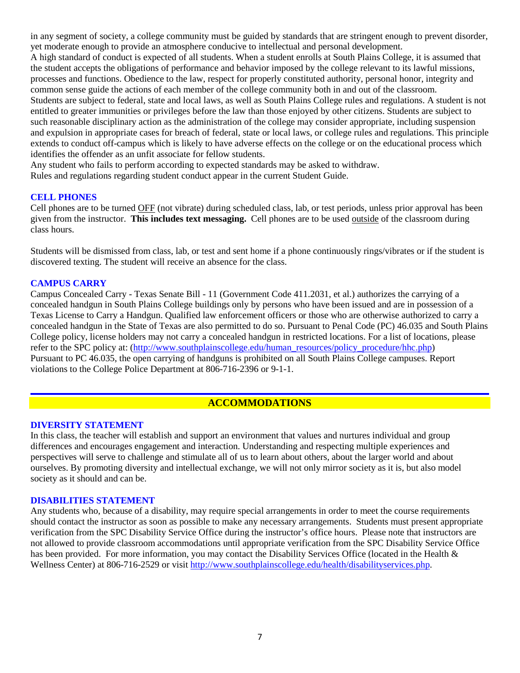in any segment of society, a college community must be guided by standards that are stringent enough to prevent disorder, yet moderate enough to provide an atmosphere conducive to intellectual and personal development. A high standard of conduct is expected of all students. When a student enrolls at South Plains College, it is assumed that the student accepts the obligations of performance and behavior imposed by the college relevant to its lawful missions, processes and functions. Obedience to the law, respect for properly constituted authority, personal honor, integrity and common sense guide the actions of each member of the college community both in and out of the classroom. Students are subject to federal, state and local laws, as well as South Plains College rules and regulations. A student is not entitled to greater immunities or privileges before the law than those enjoyed by other citizens. Students are subject to such reasonable disciplinary action as the administration of the college may consider appropriate, including suspension and expulsion in appropriate cases for breach of federal, state or local laws, or college rules and regulations. This principle extends to conduct off-campus which is likely to have adverse effects on the college or on the educational process which identifies the offender as an unfit associate for fellow students.

Any student who fails to perform according to expected standards may be asked to withdraw.

Rules and regulations regarding student conduct appear in the current Student Guide.

#### **CELL PHONES**

Cell phones are to be turned OFF (not vibrate) during scheduled class, lab, or test periods, unless prior approval has been given from the instructor. **This includes text messaging.** Cell phones are to be used outside of the classroom during class hours.

Students will be dismissed from class, lab, or test and sent home if a phone continuously rings/vibrates or if the student is discovered texting. The student will receive an absence for the class.

#### **CAMPUS CARRY**

Campus Concealed Carry - Texas Senate Bill - 11 (Government Code 411.2031, et al.) authorizes the carrying of a concealed handgun in South Plains College buildings only by persons who have been issued and are in possession of a Texas License to Carry a Handgun. Qualified law enforcement officers or those who are otherwise authorized to carry a concealed handgun in the State of Texas are also permitted to do so. Pursuant to Penal Code (PC) 46.035 and South Plains College policy, license holders may not carry a concealed handgun in restricted locations. For a list of locations, please refer to the SPC policy at: [\(http://www.southplainscollege.edu/human\\_resources/policy\\_procedure/hhc.php\)](http://www.southplainscollege.edu/human_resources/policy_procedure/hhc.php) Pursuant to PC 46.035, the open carrying of handguns is prohibited on all South Plains College campuses. Report violations to the College Police Department at 806-716-2396 or 9-1-1.

## **ACCOMMODATIONS**

#### **DIVERSITY STATEMENT**

In this class, the teacher will establish and support an environment that values and nurtures individual and group differences and encourages engagement and interaction. Understanding and respecting multiple experiences and perspectives will serve to challenge and stimulate all of us to learn about others, about the larger world and about ourselves. By promoting diversity and intellectual exchange, we will not only mirror society as it is, but also model society as it should and can be.

#### **DISABILITIES STATEMENT**

Any students who, because of a disability, may require special arrangements in order to meet the course requirements should contact the instructor as soon as possible to make any necessary arrangements. Students must present appropriate verification from the SPC Disability Service Office during the instructor's office hours. Please note that instructors are not allowed to provide classroom accommodations until appropriate verification from the SPC Disability Service Office has been provided. For more information, you may contact the Disability Services Office (located in the Health & Wellness Center) at 806-716-2529 or visit [http://www.southplainscollege.edu/health/disabilityservices.php.](http://www.southplainscollege.edu/health/disabilityservices.php)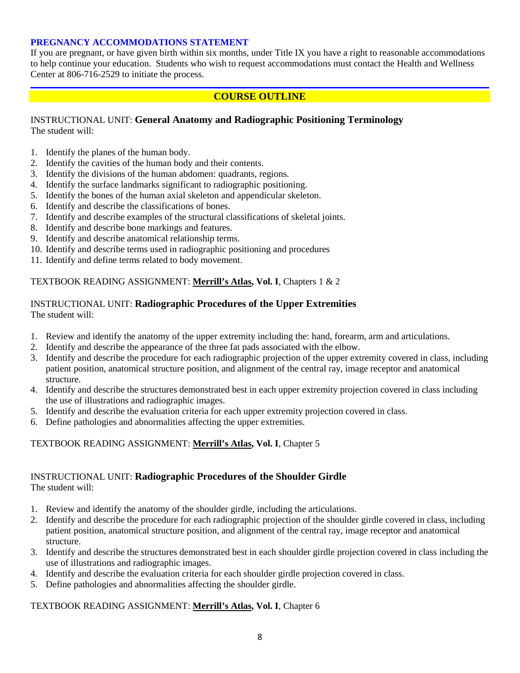## **PREGNANCY ACCOMMODATIONS STATEMENT**

If you are pregnant, or have given birth within six months, under Title IX you have a right to reasonable accommodations to help continue your education. Students who wish to request accommodations must contact the Health and Wellness Center at 806-716-2529 to initiate the process.

## **COURSE OUTLINE**

## INSTRUCTIONAL UNIT: **General Anatomy and Radiographic Positioning Terminology** The student will:

- 1. Identify the planes of the human body.
- 2. Identify the cavities of the human body and their contents.
- 3. Identify the divisions of the human abdomen: quadrants, regions.
- 4. Identify the surface landmarks significant to radiographic positioning.
- 5. Identify the bones of the human axial skeleton and appendicular skeleton.
- 6. Identify and describe the classifications of bones.
- 7. Identify and describe examples of the structural classifications of skeletal joints.
- 8. Identify and describe bone markings and features.
- 9. Identify and describe anatomical relationship terms.
- 10. Identify and describe terms used in radiographic positioning and procedures
- 11. Identify and define terms related to body movement.

#### TEXTBOOK READING ASSIGNMENT: **Merrill's Atlas, Vol. I**, Chapters 1 & 2

## INSTRUCTIONAL UNIT: **Radiographic Procedures of the Upper Extremities** The student will:

- 1. Review and identify the anatomy of the upper extremity including the: hand, forearm, arm and articulations.
- 2. Identify and describe the appearance of the three fat pads associated with the elbow.
- 3. Identify and describe the procedure for each radiographic projection of the upper extremity covered in class, including patient position, anatomical structure position, and alignment of the central ray, image receptor and anatomical structure.
- 4. Identify and describe the structures demonstrated best in each upper extremity projection covered in class including the use of illustrations and radiographic images.
- 5. Identify and describe the evaluation criteria for each upper extremity projection covered in class.
- 6. Define pathologies and abnormalities affecting the upper extremities.

## TEXTBOOK READING ASSIGNMENT: **Merrill's Atlas, Vol. I**, Chapter 5

## INSTRUCTIONAL UNIT: **Radiographic Procedures of the Shoulder Girdle** The student will:

- 1. Review and identify the anatomy of the shoulder girdle, including the articulations.
- 2. Identify and describe the procedure for each radiographic projection of the shoulder girdle covered in class, including patient position, anatomical structure position, and alignment of the central ray, image receptor and anatomical structure.
- 3. Identify and describe the structures demonstrated best in each shoulder girdle projection covered in class including the use of illustrations and radiographic images.
- 4. Identify and describe the evaluation criteria for each shoulder girdle projection covered in class.
- 5. Define pathologies and abnormalities affecting the shoulder girdle.

#### TEXTBOOK READING ASSIGNMENT: **Merrill's Atlas, Vol. I**, Chapter 6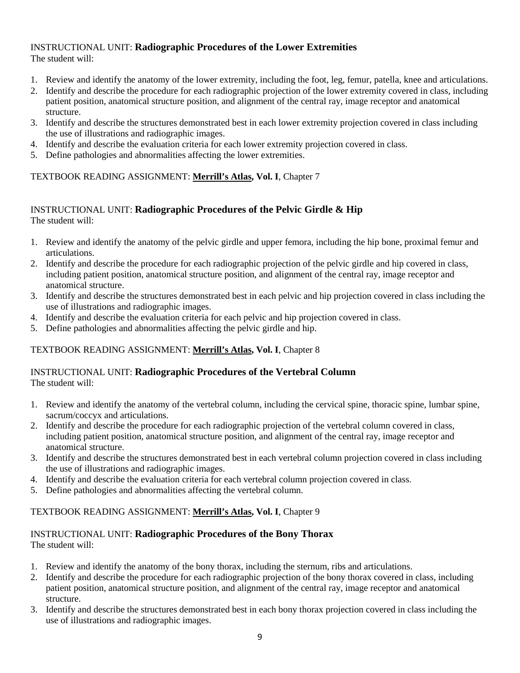## INSTRUCTIONAL UNIT: **Radiographic Procedures of the Lower Extremities** The student will:

- 1. Review and identify the anatomy of the lower extremity, including the foot, leg, femur, patella, knee and articulations.
- 2. Identify and describe the procedure for each radiographic projection of the lower extremity covered in class, including patient position, anatomical structure position, and alignment of the central ray, image receptor and anatomical structure.
- 3. Identify and describe the structures demonstrated best in each lower extremity projection covered in class including the use of illustrations and radiographic images.
- 4. Identify and describe the evaluation criteria for each lower extremity projection covered in class.
- 5. Define pathologies and abnormalities affecting the lower extremities.

## TEXTBOOK READING ASSIGNMENT: **Merrill's Atlas, Vol. I**, Chapter 7

## INSTRUCTIONAL UNIT: **Radiographic Procedures of the Pelvic Girdle & Hip** The student will:

- 1. Review and identify the anatomy of the pelvic girdle and upper femora, including the hip bone, proximal femur and articulations.
- 2. Identify and describe the procedure for each radiographic projection of the pelvic girdle and hip covered in class, including patient position, anatomical structure position, and alignment of the central ray, image receptor and anatomical structure.
- 3. Identify and describe the structures demonstrated best in each pelvic and hip projection covered in class including the use of illustrations and radiographic images.
- 4. Identify and describe the evaluation criteria for each pelvic and hip projection covered in class.
- 5. Define pathologies and abnormalities affecting the pelvic girdle and hip.

## TEXTBOOK READING ASSIGNMENT: **Merrill's Atlas, Vol. I**, Chapter 8

## INSTRUCTIONAL UNIT: **Radiographic Procedures of the Vertebral Column** The student will:

- 1. Review and identify the anatomy of the vertebral column, including the cervical spine, thoracic spine, lumbar spine, sacrum/coccyx and articulations.
- 2. Identify and describe the procedure for each radiographic projection of the vertebral column covered in class, including patient position, anatomical structure position, and alignment of the central ray, image receptor and anatomical structure.
- 3. Identify and describe the structures demonstrated best in each vertebral column projection covered in class including the use of illustrations and radiographic images.
- 4. Identify and describe the evaluation criteria for each vertebral column projection covered in class.
- 5. Define pathologies and abnormalities affecting the vertebral column.

## TEXTBOOK READING ASSIGNMENT: **Merrill's Atlas, Vol. I**, Chapter 9

# INSTRUCTIONAL UNIT: **Radiographic Procedures of the Bony Thorax**

- The student will:
- 1. Review and identify the anatomy of the bony thorax, including the sternum, ribs and articulations.
- 2. Identify and describe the procedure for each radiographic projection of the bony thorax covered in class, including patient position, anatomical structure position, and alignment of the central ray, image receptor and anatomical structure.
- 3. Identify and describe the structures demonstrated best in each bony thorax projection covered in class including the use of illustrations and radiographic images.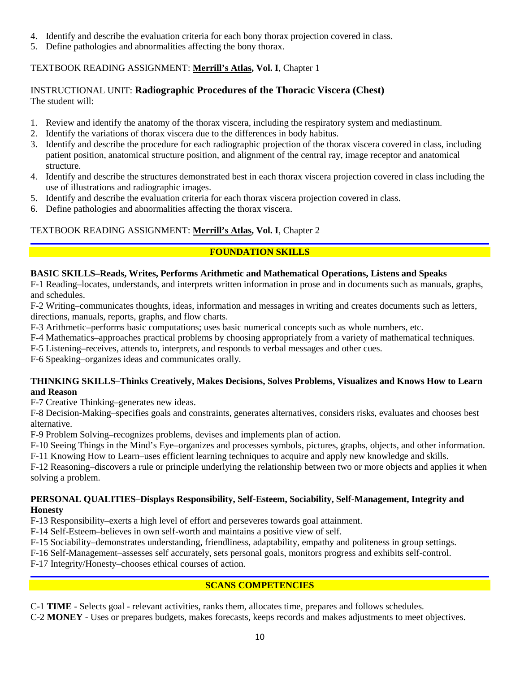- 4. Identify and describe the evaluation criteria for each bony thorax projection covered in class.
- 5. Define pathologies and abnormalities affecting the bony thorax.

# TEXTBOOK READING ASSIGNMENT: **Merrill's Atlas, Vol. I**, Chapter 1

## INSTRUCTIONAL UNIT: **Radiographic Procedures of the Thoracic Viscera (Chest)** The student will:

- 1. Review and identify the anatomy of the thorax viscera, including the respiratory system and mediastinum.
- 2. Identify the variations of thorax viscera due to the differences in body habitus.
- 3. Identify and describe the procedure for each radiographic projection of the thorax viscera covered in class, including patient position, anatomical structure position, and alignment of the central ray, image receptor and anatomical structure.
- 4. Identify and describe the structures demonstrated best in each thorax viscera projection covered in class including the use of illustrations and radiographic images.
- 5. Identify and describe the evaluation criteria for each thorax viscera projection covered in class.
- 6. Define pathologies and abnormalities affecting the thorax viscera.

# TEXTBOOK READING ASSIGNMENT: **Merrill's Atlas, Vol. I**, Chapter 2

# **FOUNDATION SKILLS**

# **BASIC SKILLS–Reads, Writes, Performs Arithmetic and Mathematical Operations, Listens and Speaks**

F-1 Reading–locates, understands, and interprets written information in prose and in documents such as manuals, graphs, and schedules.

F-2 Writing–communicates thoughts, ideas, information and messages in writing and creates documents such as letters, directions, manuals, reports, graphs, and flow charts.

F-3 Arithmetic–performs basic computations; uses basic numerical concepts such as whole numbers, etc.

F-4 Mathematics–approaches practical problems by choosing appropriately from a variety of mathematical techniques.

F-5 Listening–receives, attends to, interprets, and responds to verbal messages and other cues.

F-6 Speaking–organizes ideas and communicates orally.

## **THINKING SKILLS–Thinks Creatively, Makes Decisions, Solves Problems, Visualizes and Knows How to Learn and Reason**

F-7 Creative Thinking–generates new ideas.

F-8 Decision-Making–specifies goals and constraints, generates alternatives, considers risks, evaluates and chooses best alternative.

F-9 Problem Solving–recognizes problems, devises and implements plan of action.

F-10 Seeing Things in the Mind's Eye–organizes and processes symbols, pictures, graphs, objects, and other information.

F-11 Knowing How to Learn–uses efficient learning techniques to acquire and apply new knowledge and skills.

F-12 Reasoning–discovers a rule or principle underlying the relationship between two or more objects and applies it when solving a problem.

## **PERSONAL QUALITIES–Displays Responsibility, Self-Esteem, Sociability, Self-Management, Integrity and Honesty**

F-13 Responsibility–exerts a high level of effort and perseveres towards goal attainment.

F-14 Self-Esteem–believes in own self-worth and maintains a positive view of self.

F-15 Sociability–demonstrates understanding, friendliness, adaptability, empathy and politeness in group settings.

F-16 Self-Management–assesses self accurately, sets personal goals, monitors progress and exhibits self-control.

F-17 Integrity/Honesty–chooses ethical courses of action.

# **SCANS COMPETENCIES**

C-1 **TIME** - Selects goal - relevant activities, ranks them, allocates time, prepares and follows schedules.

C-2 **MONEY** - Uses or prepares budgets, makes forecasts, keeps records and makes adjustments to meet objectives.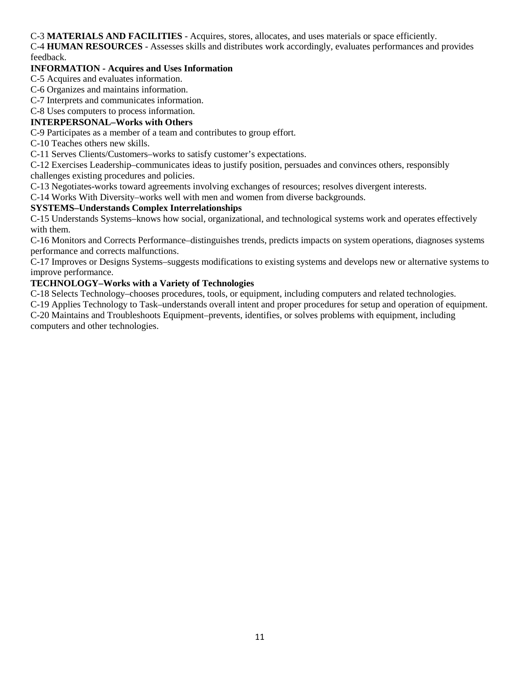C-3 **MATERIALS AND FACILITIES** - Acquires, stores, allocates, and uses materials or space efficiently.

C-4 **HUMAN RESOURCES** - Assesses skills and distributes work accordingly, evaluates performances and provides feedback.

## **INFORMATION - Acquires and Uses Information**

C-5 Acquires and evaluates information.

C-6 Organizes and maintains information.

C-7 Interprets and communicates information.

## C-8 Uses computers to process information.

## **INTERPERSONAL–Works with Others**

C-9 Participates as a member of a team and contributes to group effort.

C-10 Teaches others new skills.

C-11 Serves Clients/Customers–works to satisfy customer's expectations.

C-12 Exercises Leadership–communicates ideas to justify position, persuades and convinces others, responsibly challenges existing procedures and policies.

C-13 Negotiates-works toward agreements involving exchanges of resources; resolves divergent interests.

C-14 Works With Diversity–works well with men and women from diverse backgrounds.

## **SYSTEMS–Understands Complex Interrelationships**

C-15 Understands Systems–knows how social, organizational, and technological systems work and operates effectively with them.

C-16 Monitors and Corrects Performance–distinguishes trends, predicts impacts on system operations, diagnoses systems performance and corrects malfunctions.

C-17 Improves or Designs Systems–suggests modifications to existing systems and develops new or alternative systems to improve performance.

## **TECHNOLOGY–Works with a Variety of Technologies**

C-18 Selects Technology–chooses procedures, tools, or equipment, including computers and related technologies.

C-19 Applies Technology to Task–understands overall intent and proper procedures for setup and operation of equipment. C-20 Maintains and Troubleshoots Equipment–prevents, identifies, or solves problems with equipment, including computers and other technologies.